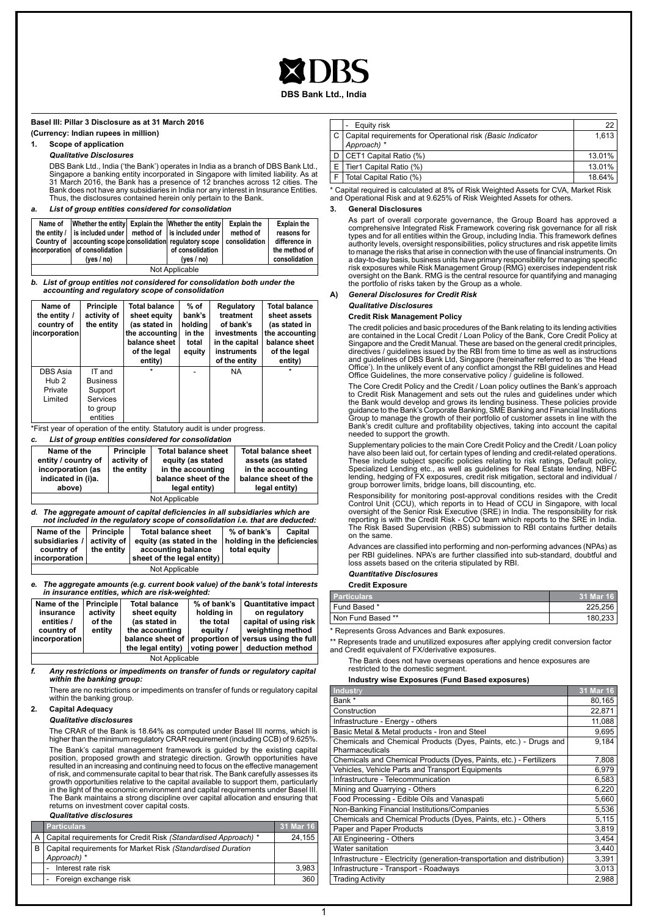**DBS Bank Ltd., India**

#### **Basel III: Pillar 3 Disclosure as at 31 March 2016**

**(Currency: Indian rupees in million)**

#### **1. Scope of application**

#### *Qualitative Disclosures*

DBS Bank Ltd., India ('the Bank') operates in India as a branch of DBS Bank Ltd., Singapore a banking entity incorporated in Singapore with limited liability. As at 31 March 2016, the Bank has a presence of 12 branches across 12 cities. The Bank does not have any subsidiaries in India nor any interest in Insurance Entities. Thus, the disclosures contained herein only pertain to the Bank.

#### *a. List of group entities considered for consolidation*

| Name of        | incorporation of consolidation<br>ives / no) |  | Whether the entity Explain the Whether the entity<br>the entity $\ell$ is included under $\ell$ method of is included under $\ell$<br>Country of accounting scope consolidation regulatory scope   consolidation<br>of consolidation<br>(yes $/$ no) | <b>Explain the</b><br>method of | <b>Explain the</b><br>reasons for<br>difference in<br>the method of<br>consolidation |
|----------------|----------------------------------------------|--|------------------------------------------------------------------------------------------------------------------------------------------------------------------------------------------------------------------------------------------------------|---------------------------------|--------------------------------------------------------------------------------------|
| Not Applicable |                                              |  |                                                                                                                                                                                                                                                      |                                 |                                                                                      |

*b. List of group entities not considered for consolidation both under the accounting and regulatory scope of consolidation*

| Name of<br>the entity /<br>country of<br>incorporation | <b>Principle</b><br>activity of<br>the entity                            | <b>Total balance</b><br>sheet equity<br>(as stated in<br>the accounting<br>balance sheet<br>of the legal<br>entity) | % of<br>bank's<br>holding<br>in the<br>total<br>equity | Regulatory<br>treatment<br>of bank's<br>investments<br>in the capital<br>instruments<br>of the entity | <b>Total balance</b><br>sheet assets<br>(as stated in<br>the accounting<br>balance sheet<br>of the legal<br>entity) |
|--------------------------------------------------------|--------------------------------------------------------------------------|---------------------------------------------------------------------------------------------------------------------|--------------------------------------------------------|-------------------------------------------------------------------------------------------------------|---------------------------------------------------------------------------------------------------------------------|
| DBS Asia<br>Hub <sub>2</sub><br>Private<br>Limited     | IT and<br><b>Business</b><br>Support<br>Services<br>to group<br>entities |                                                                                                                     |                                                        | <b>NA</b>                                                                                             | $\star$                                                                                                             |

\*First year of operation of the entity. Statutory audit is under progress.

#### *c. List of group entities considered for consolidation*

| Name of the<br>entity / country of<br>incorporation (as<br>indicated in (i)a.<br>above) | <b>Principle</b><br>activity of<br>the entity | <b>Total balance sheet</b><br>equity (as stated<br>in the accounting<br>balance sheet of the<br>legal entity) | <b>Total balance sheet</b><br>assets (as stated<br>in the accounting<br>balance sheet of the<br>legal entity) |  |
|-----------------------------------------------------------------------------------------|-----------------------------------------------|---------------------------------------------------------------------------------------------------------------|---------------------------------------------------------------------------------------------------------------|--|
| Not Applicable                                                                          |                                               |                                                                                                               |                                                                                                               |  |

#### *d. The aggregate amount of capital deficiencies in all subsidiaries which are not included in the regulatory scope of consolidation i.e. that are deducted:*

| Name of the<br>subsidiaries /   activity of  <br>country of<br>incorporation | <b>Principle</b><br>the entity | <b>Total balance sheet</b><br>equity (as stated in the<br>accounting balance<br>sheet of the legal entity) | % of bank's<br>holding in the deficiencies<br>total equity | Capital |
|------------------------------------------------------------------------------|--------------------------------|------------------------------------------------------------------------------------------------------------|------------------------------------------------------------|---------|
|                                                                              |                                | Not Applicable                                                                                             |                                                            |         |

*e. The aggregate amounts (e.g. current book value) of the bank's total interests in insurance entities, which are risk-weighted:*

| Name of the    | <b>Principle</b> | <b>Total balance</b> | $%$ of bank's | <b>Quantitative impact</b>          |
|----------------|------------------|----------------------|---------------|-------------------------------------|
| insurance      | activity         | sheet equity         | holding in    | on regulatory                       |
| entities /     | of the           | (as stated in        | the total     | capital of using risk               |
| country of     | entity           | the accounting       | equity /      | weighting method                    |
| incorporation  |                  | balance sheet of     |               | proportion of versus using the full |
|                |                  | the legal entity)    | voting power  | deduction method                    |
| Not Applicable |                  |                      |               |                                     |

*f. Any restrictions or impediments on transfer of funds or regulatory capital within the banking group:*

There are no restrictions or impediments on transfer of funds or regulatory capital within the banking group.

#### **2. Capital Adequacy**

#### *Qualitative disclosures*

The CRAR of the Bank is 18.64% as computed under Basel III norms, which is higher than the minimum regulatory CRAR requirement (including CCB) of 9.625%

The Bank's capital management framework is guided by the existing capital position, proposed growth and strategic direction. Growth opportunities have<br>resulted in an increasing and continuing need to focus on the effective management<br>of risk, and commensurate capital to bear that risk. The Bank growth opportunities relative to the capital available to support them, particularly in the light of the economic environment and capital requirements under Basel III. The Bank maintains a strong discipline over capital allocation and ensuring that returns on investment cover capital costs.

#### *Qualitative disclosures*

| <b>Particulars</b>                                                             | 31 Mar 16 |
|--------------------------------------------------------------------------------|-----------|
| A   Capital requirements for Credit Risk (Standardised Approach) *             | 24.155    |
| B   Capital requirements for Market Risk (Standardised Duration<br>Approach) * |           |
| Interest rate risk                                                             | 3.983     |
| - Foreign exchange risk                                                        | 360       |

|     | Equity risk                                                                   | 22     |
|-----|-------------------------------------------------------------------------------|--------|
|     | C   Capital requirements for Operational risk (Basic Indicator<br>Approach) * | 1.613  |
| l D | CET1 Capital Ratio (%)                                                        | 13.01% |
|     | E   Tier1 Capital Ratio (%)                                                   | 13.01% |
|     | Total Capital Ratio (%)                                                       | 18.64% |

\* Capital required is calculated at 8% of Risk Weighted Assets for CVA, Market Risk and Operational Risk and at 9.625% of Risk Weighted Assets for others.

#### **3. General Disclosures**

As part of overall corporate governance, the Group Board has approved a<br>comprehensive Integrated Risk Framework covering risk governance for all risk<br>types and for all entities within the Group, including India. This frame authority levels, oversight responsibilities, policy structures and risk appetite limits to manage the risks that arise in connection with the use of financial instruments. On a day-to-day basis, business units have primary responsibility for managing specific risk exposures while Risk Management Group (RMG) exercises independent risk oversight on the Bank. RMG is the central resource for quantifying and managing the portfolio of risks taken by the Group as a whole.

#### **A)** *General Disclosures for Credit Risk*

#### *Qualitative Disclosures*

#### **Credit Risk Management Policy**

The credit policies and basic procedures of the Bank relating to its lending activities are contained in the Local Credit / Loan Policy of the Bank, Core Credit Policy at Singapore and the Credit Manual. These are based on the general credit principles, directives / guidelines issued by the RBI from time to time as well as instructions and guidelines of DBS Bank Ltd, Singapore (hereinafter referred to as 'the Head Office'). In the unlikely event of any conflict amongst the RBI guidelines and Head Office Guidelines, the more conservative policy / guideline is followed.

The Core Credit Policy and the Credit / Loan policy outlines the Bank's approach<br>to Credit Risk Management and sets out the rules and guidelines under which<br>the Bank would develop and grows its lending business. These poli guidance to the Bank's Corporate Banking, SME Banking and Financial Institutions<br>Group to manage the growth of their portfolio of customer assets in line with the<br>Bank's credit culture and profitability objectives, taking needed to support the growth.

Supplementary policies to the main Core Credit Policy and the Credit / Loan policy<br>have also been laid out, for certain types of lending and credit-related operations.<br>These include subject specific policies relating to ri lending, hedging of FX exposures, credit risk mitigation, sectoral and individual / group borrower limits, bridge loans, bill discounting, etc.

Responsibility for monitoring post-approval conditions resides with the Credit Control Unit (CCU), which reports in to Head of CCU in Singapore, with local<br>oversight of the Senior Risk Executive (SRE) in India. The responsibility for risk<br>reporting is with the Credit Risk - COO team which reports to The Risk Based Supervision (RBS) submission to RBI contains further details on the same.

Advances are classified into performing and non-performing advances (NPAs) as per RBI guidelines. NPA's are further classified into sub-standard, doubtful and loss assets based on the criteria stipulated by RBI.

#### *Quantitative Disclosures*

**Credit Exposure**

| <b>Particulars</b> | 31 Mar 16 |
|--------------------|-----------|
| Fund Based *       | 225.256   |
| Non Fund Based **  | 180.233   |

\* Represents Gross Advances and Bank exposures.

\*\* Represents trade and unutilized exposures after applying credit conversion factor and Credit equivalent of FX/derivative exposures.

The Bank does not have overseas operations and hence exposures are restricted to the domestic segment.

#### **Industry wise Exposures (Fund Based exposures)**

| <b>Industry</b>                                                                     | 31 Mar 16 |
|-------------------------------------------------------------------------------------|-----------|
| Bank *                                                                              | 80,165    |
| Construction                                                                        | 22,871    |
| Infrastructure - Energy - others                                                    | 11,088    |
| Basic Metal & Metal products - Iron and Steel                                       | 9,695     |
| Chemicals and Chemical Products (Dyes, Paints, etc.) - Drugs and<br>Pharmaceuticals | 9.184     |
| Chemicals and Chemical Products (Dyes, Paints, etc.) - Fertilizers                  | 7,808     |
| Vehicles, Vehicle Parts and Transport Equipments                                    | 6,979     |
| Infrastructure - Telecommunication                                                  | 6,583     |
| Mining and Quarrying - Others                                                       | 6,220     |
| Food Processing - Edible Oils and Vanaspati                                         | 5,660     |
| Non-Banking Financial Institutions/Companies                                        | 5,536     |
| Chemicals and Chemical Products (Dyes, Paints, etc.) - Others                       | 5,115     |
| Paper and Paper Products                                                            | 3,819     |
| All Engineering - Others                                                            | 3,454     |
| Water sanitation                                                                    | 3,440     |
| Infrastructure - Electricity (generation-transportation and distribution)           | 3,391     |
| Infrastructure - Transport - Roadways                                               | 3,013     |
| <b>Trading Activity</b>                                                             | 2,988     |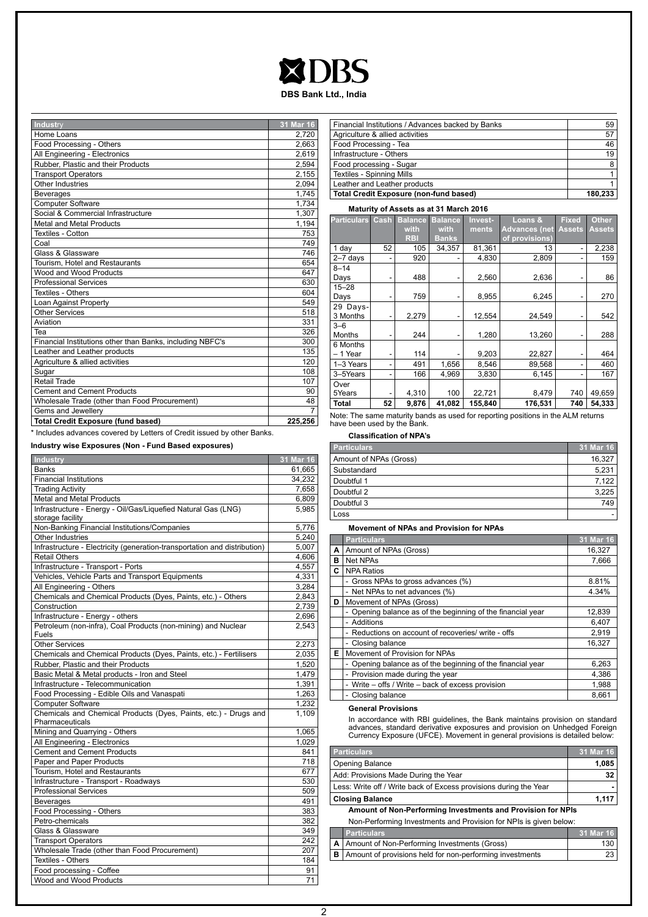## **XDBS**

**DBS Bank Ltd., India**

| Industry                                                  | 31 Mar 16 |
|-----------------------------------------------------------|-----------|
| Home Loans                                                | 2,720     |
| Food Processing - Others                                  | 2,663     |
| All Engineering - Electronics                             | 2.619     |
| Rubber, Plastic and their Products                        | 2,594     |
| <b>Transport Operators</b>                                | 2,155     |
| Other Industries                                          | 2,094     |
| <b>Beverages</b>                                          | 1.745     |
| Computer Software                                         | 1,734     |
| Social & Commercial Infrastructure                        | 1,307     |
| Metal and Metal Products                                  | 1,194     |
| Textiles - Cotton                                         | 753       |
| Coal                                                      | 749       |
| Glass & Glassware                                         | 746       |
| Tourism, Hotel and Restaurants                            | 654       |
| Wood and Wood Products                                    | 647       |
| <b>Professional Services</b>                              | 630       |
| <b>Textiles - Others</b>                                  | 604       |
| Loan Against Property                                     | 549       |
| <b>Other Services</b>                                     | 518       |
| Aviation                                                  | 331       |
| Tea                                                       | 326       |
| Financial Institutions other than Banks, including NBFC's | 300       |
| Leather and Leather products                              | 135       |
| Agriculture & allied activities                           | 120       |
| Sugar                                                     | 108       |
| Retail Trade                                              | 107       |
| <b>Cement and Cement Products</b>                         | 90        |
| Wholesale Trade (other than Food Procurement)             | 48        |
| Gems and Jewellery                                        | 7         |
| <b>Total Credit Exposure (fund based)</b>                 | 225,256   |

\* Includes advances covered by Letters of Credit issued by other Banks.

**Industry wise Exposures (Non - Fund Based exposures)**

| <b>Industry</b>                                                           | 31 Mar 16 |
|---------------------------------------------------------------------------|-----------|
| <b>Banks</b>                                                              | 61,665    |
| <b>Financial Institutions</b>                                             | 34,232    |
| <b>Trading Activity</b>                                                   | 7,658     |
| <b>Metal and Metal Products</b>                                           | 6,809     |
| Infrastructure - Energy - Oil/Gas/Liquefied Natural Gas (LNG)             | 5,985     |
| storage facility                                                          |           |
| Non-Banking Financial Institutions/Companies                              | 5,776     |
| Other Industries                                                          | 5,240     |
| Infrastructure - Electricity (generation-transportation and distribution) | 5,007     |
| <b>Retail Others</b>                                                      | 4,606     |
| Infrastructure - Transport - Ports                                        | 4,557     |
| Vehicles, Vehicle Parts and Transport Equipments                          | 4,331     |
| All Engineering - Others                                                  | 3,284     |
| Chemicals and Chemical Products (Dyes, Paints, etc.) - Others             | 2,843     |
| Construction                                                              | 2,739     |
| Infrastructure - Energy - others                                          | 2,696     |
| Petroleum (non-infra), Coal Products (non-mining) and Nuclear<br>Fuels    | 2,543     |
| <b>Other Services</b>                                                     | 2,273     |
| Chemicals and Chemical Products (Dyes, Paints, etc.) - Fertilisers        | 2,035     |
| Rubber, Plastic and their Products                                        | 1,520     |
| Basic Metal & Metal products - Iron and Steel                             | 1,479     |
| Infrastructure - Telecommunication                                        | 1,391     |
| Food Processing - Edible Oils and Vanaspati                               | 1,263     |
| <b>Computer Software</b>                                                  | 1,232     |
| Chemicals and Chemical Products (Dyes, Paints, etc.) - Drugs and          | 1,109     |
| Pharmaceuticals                                                           |           |
| Mining and Quarrying - Others                                             | 1,065     |
| All Engineering - Electronics                                             | 1,029     |
| <b>Cement and Cement Products</b>                                         | 841       |
| Paper and Paper Products                                                  | 718       |
| Tourism, Hotel and Restaurants                                            | 677       |
| Infrastructure - Transport - Roadways                                     | 530       |
| <b>Professional Services</b>                                              | 509       |
| <b>Beverages</b>                                                          | 491       |
| Food Processing - Others                                                  | 383       |
| Petro-chemicals                                                           | 382       |
| Glass & Glassware                                                         | 349       |
| <b>Transport Operators</b>                                                | 242       |
| Wholesale Trade (other than Food Procurement)                             | 207       |
| Textiles - Others                                                         | 184       |
| Food processing - Coffee                                                  | 91        |
| Wood and Wood Products                                                    | 71        |

| Financial Institutions / Advances backed by Banks | 59      |
|---------------------------------------------------|---------|
| Agriculture & allied activities                   | 57      |
| Food Processing - Tea                             | 46      |
| Infrastructure - Others                           | 19      |
| Food processing - Sugar                           | 8       |
| Textiles - Spinning Mills                         |         |
| Leather and Leather products                      |         |
| Total Credit Exposure (non-fund based)            | 180.233 |

#### **Maturity of Assets as at 31 March 2016**

| <b>Particulars</b>   | Cash | <b>Balance</b><br>with | <b>Balance</b><br>with | Invest-<br>ments | Loans &<br>Advances (net | <b>Fixed</b><br><b>Assets</b> | Other<br>Assets |
|----------------------|------|------------------------|------------------------|------------------|--------------------------|-------------------------------|-----------------|
|                      |      | <b>RBI</b>             | <b>Banks</b>           |                  | of provisions)           |                               |                 |
| 1 day                | 52   | 105                    | 34,357                 | 81,361           | 13                       |                               | 2,238           |
| $2 - 7$ days         |      | 920                    |                        | 4,830            | 2,809                    |                               | 159             |
| $8 - 14$<br>Days     | -    | 488                    |                        | 2,560            | 2,636                    |                               | 86              |
| $15 - 28$<br>Days    |      | 759                    |                        | 8,955            | 6,245                    |                               | 270             |
| 29 Days-<br>3 Months |      | 2,279                  |                        | 12,554           | 24,549                   |                               | 542             |
| $3 - 6$<br>Months    | -    | 244                    |                        | 1,280            | 13,260                   |                               | 288             |
| 6 Months<br>1 Year   |      | 114                    |                        | 9,203            | 22,827                   |                               | 464             |
| 1-3 Years            | ۰    | 491                    | 1,656                  | 8,546            | 89,568                   |                               | 460             |
| 3-5Years             | -    | 166                    | 4,969                  | 3,830            | 6,145                    |                               | 167             |
| Over<br>5Years       | -    | 4,310                  | 100                    | 22,721           | 8,479                    | 740                           | 49,659          |
| Total                | 52   | 9,876                  | 41,082                 | 155,840          | 176,531                  | 740                           | 54,333          |

Note: The same maturity bands as used for reporting positions in the ALM returns have been used by the Bank.

#### **Classification of NPA's**

| <b>Particulars</b>     | 31 Mar 16 |
|------------------------|-----------|
| Amount of NPAs (Gross) | 16,327    |
| Substandard            | 5,231     |
| Doubtful 1             | 7,122     |
| Doubtful 2             | 3,225     |
| Doubtful 3             | 749       |
| Loss                   |           |

#### **Movement of NPAs and Provision for NPAs**

|   | <b>Particulars</b>                                          | 31 Mar 16 |
|---|-------------------------------------------------------------|-----------|
| A | Amount of NPAs (Gross)                                      | 16.327    |
| в | <b>Net NPAs</b>                                             | 7,666     |
| C | <b>NPA Ratios</b>                                           |           |
|   | - Gross NPAs to gross advances (%)                          | 8.81%     |
|   | - Net NPAs to net advances (%)                              | 4.34%     |
| D | Movement of NPAs (Gross)                                    |           |
|   | - Opening balance as of the beginning of the financial year | 12,839    |
|   | - Additions                                                 | 6,407     |
|   | - Reductions on account of recoveries/ write - offs         | 2,919     |
|   | Closing balance                                             | 16,327    |
| Е | Movement of Provision for NPAs                              |           |
|   | - Opening balance as of the beginning of the financial year | 6,263     |
|   | - Provision made during the year                            | 4,386     |
|   | - Write - offs / Write - back of excess provision           | 1,988     |
|   | - Closing balance                                           | 8,661     |

#### **General Provisions**

In accordance with RBI guidelines, the Bank maintains provision on standard<br>advances, standard derivative exposures and provision on Unhedged Foreign<br>Currency Exposure (UFCE). Movement in general provisions is detailed bel

| <b>Particulars</b>                                                | 31 Mar 16            |  |
|-------------------------------------------------------------------|----------------------|--|
| Opening Balance                                                   | 1,085                |  |
| Add: Provisions Made During the Year                              | 32                   |  |
| Less: Write off / Write back of Excess provisions during the Year |                      |  |
| <b>Closing Balance</b>                                            | 1,117                |  |
| Amount of Non-Performing Investments and Provision for NPIs       |                      |  |
| Non-Performing Investments and Provision for NPIs is given below: |                      |  |
| <b>Particulars</b>                                                | 31 Mar 16            |  |
| _ _ _ _ _ _ _ _ _ _                                               | $\sim$ $\sim$ $\sim$ |  |

| A   Amount of Non-Performing Investments (Gross)                  | 130  |
|-------------------------------------------------------------------|------|
| <b>B</b> Amount of provisions held for non-performing investments | 23 I |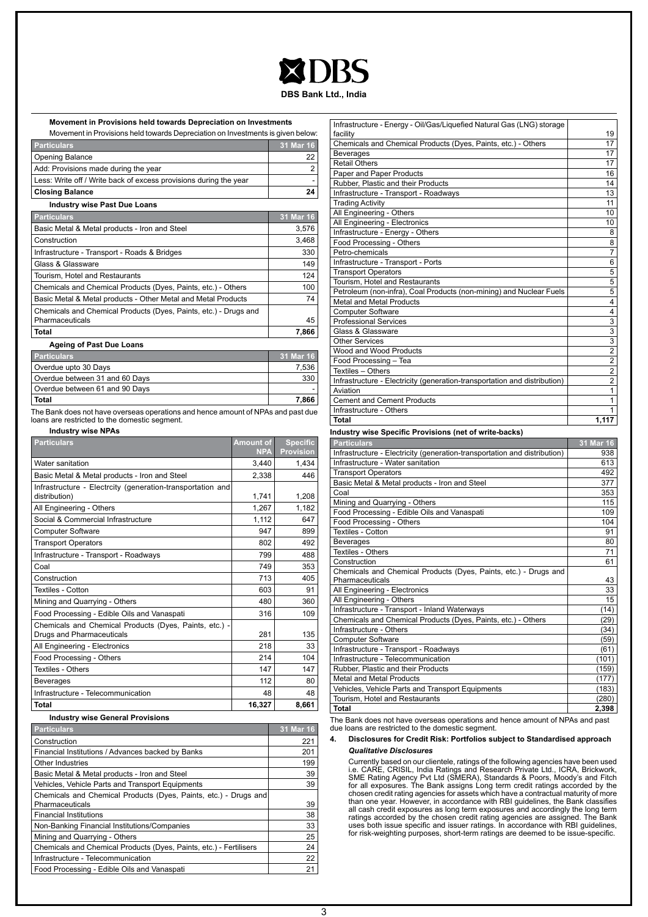#### **DBS Bank Ltd., India**

| Movement in Provisions held towards Depreciation on Investments                                                                   |                                |                                     |
|-----------------------------------------------------------------------------------------------------------------------------------|--------------------------------|-------------------------------------|
| Movement in Provisions held towards Depreciation on Investments is given below:                                                   |                                |                                     |
| <b>Particulars</b>                                                                                                                |                                | 31 Mar 16                           |
| <b>Opening Balance</b>                                                                                                            |                                | 22                                  |
| Add: Provisions made during the year                                                                                              |                                | 2                                   |
| Less: Write off / Write back of excess provisions during the year                                                                 |                                |                                     |
| <b>Closing Balance</b>                                                                                                            |                                | 24                                  |
| <b>Industry wise Past Due Loans</b>                                                                                               |                                |                                     |
| <b>Particulars</b>                                                                                                                |                                | 31 Mar 16                           |
| Basic Metal & Metal products - Iron and Steel                                                                                     |                                | 3,576                               |
| Construction                                                                                                                      |                                | 3,468                               |
| Infrastructure - Transport - Roads & Bridges                                                                                      |                                | 330                                 |
| Glass & Glassware                                                                                                                 |                                | 149                                 |
| Tourism, Hotel and Restaurants                                                                                                    |                                | 124                                 |
| Chemicals and Chemical Products (Dyes, Paints, etc.) - Others                                                                     |                                | 100                                 |
| Basic Metal & Metal products - Other Metal and Metal Products                                                                     |                                | 74                                  |
| Chemicals and Chemical Products (Dyes, Paints, etc.) - Drugs and<br>Pharmaceuticals                                               |                                | 45                                  |
| <b>Total</b>                                                                                                                      |                                | 7,866                               |
| <b>Ageing of Past Due Loans</b>                                                                                                   |                                |                                     |
| <b>Particulars</b>                                                                                                                |                                | 31 Mar 16                           |
| Overdue upto 30 Days                                                                                                              |                                | 7,536                               |
| Overdue between 31 and 60 Days                                                                                                    | 330                            |                                     |
| Overdue between 61 and 90 Days                                                                                                    |                                |                                     |
| <b>Total</b>                                                                                                                      |                                | 7,866                               |
| The Bank does not have overseas operations and hence amount of NPAs and past due<br>loans are restricted to the domestic segment. |                                |                                     |
| <b>Industry wise NPAs</b>                                                                                                         |                                |                                     |
| <b>Particulars</b>                                                                                                                | <b>Amount of</b><br><b>NPA</b> | <b>Specific</b><br><b>Provision</b> |
| Water sanitation                                                                                                                  | 3,440                          | 1.434                               |
| Basic Metal & Metal products - Iron and Steel                                                                                     | 2,338                          | 446                                 |
| Infrastructure - Electrcity (generation-transportation and<br>distribution)                                                       | 1,741                          | 1,208                               |
| All Engineering - Others                                                                                                          | 1,267                          | 1,182                               |
| Social & Commercial Infrastructure<br>1,112                                                                                       |                                | 647                                 |
| <b>Computer Software</b>                                                                                                          | 947                            | 899                                 |
| <b>Transport Operators</b>                                                                                                        | 802                            | 492                                 |
| Infrastructure - Transport - Roadways<br>799                                                                                      |                                | 488                                 |
| Coal                                                                                                                              | 749                            | 353                                 |
| Construction                                                                                                                      | 713                            | 405                                 |
| <b>Textiles - Cotton</b>                                                                                                          | 603                            | 91                                  |
| Mining and Quarrying - Others                                                                                                     | 480                            | 360                                 |
| Food Processing - Edible Oils and Vanaspati                                                                                       |                                | 109                                 |
| Chemicals and Chemical Products (Dyes, Paints, etc.) -                                                                            | 316                            |                                     |
| Drugs and Pharmaceuticals                                                                                                         | 281                            | 135                                 |
| All Engineering - Electronics                                                                                                     | 218                            | 33                                  |
| Food Processing - Others                                                                                                          | 214                            | 104                                 |

| Infrastructure - Energy - Oil/Gas/Liquefied Natural Gas (LNG) storage     |                           |
|---------------------------------------------------------------------------|---------------------------|
| facility                                                                  | 19                        |
| Chemicals and Chemical Products (Dyes, Paints, etc.) - Others             | 17                        |
| <b>Beverages</b>                                                          | 17                        |
| <b>Retail Others</b>                                                      | 17                        |
| Paper and Paper Products                                                  | 16                        |
| Rubber, Plastic and their Products                                        | 14                        |
| Infrastructure - Transport - Roadways                                     | 13                        |
| <b>Trading Activity</b>                                                   | 11                        |
| All Engineering - Others                                                  | 10                        |
| All Engineering - Electronics                                             | 10                        |
| Infrastructure - Energy - Others                                          | 8                         |
| Food Processing - Others                                                  | 8                         |
| Petro-chemicals                                                           | $\overline{7}$            |
| Infrastructure - Transport - Ports                                        | 6                         |
| <b>Transport Operators</b>                                                | 5                         |
| Tourism, Hotel and Restaurants                                            | $\overline{5}$            |
| Petroleum (non-infra), Coal Products (non-mining) and Nuclear Fuels       | $\overline{5}$            |
| <b>Metal and Metal Products</b>                                           | 4                         |
| <b>Computer Software</b>                                                  | 4                         |
| <b>Professional Services</b>                                              | $\overline{3}$            |
| Glass & Glassware                                                         | $\overline{3}$            |
| <b>Other Services</b>                                                     | $\overline{\overline{3}}$ |
| Wood and Wood Products                                                    | $\frac{2}{2}$             |
| Food Processing - Tea                                                     |                           |
| Textiles - Others                                                         | $\overline{2}$            |
| Infrastructure - Electricity (generation-transportation and distribution) | $\overline{2}$            |
| Aviation                                                                  | $\overline{1}$            |
| <b>Cement and Cement Products</b>                                         | $\mathbf{1}$              |
| Infrastructure - Others                                                   | 1                         |
| <b>Total</b>                                                              | 1,117                     |
| Industry wise Specific Provisions (net of write-backs)                    |                           |
| <b>Particulars</b>                                                        | 31 Mar 16                 |
| Infrastructure - Electricity (generation-transportation and distribution) | 938                       |

| <b>Particulars</b>                                                        | 31 Mar 16 |
|---------------------------------------------------------------------------|-----------|
| Infrastructure - Electricity (generation-transportation and distribution) | 938       |
| Infrastructure - Water sanitation                                         | 613       |
| <b>Transport Operators</b>                                                | 492       |
| Basic Metal & Metal products - Iron and Steel                             | 377       |
| Coal                                                                      | 353       |
| Mining and Quarrying - Others                                             | 115       |
| Food Processing - Edible Oils and Vanaspati                               | 109       |
| Food Processing - Others                                                  | 104       |
| Textiles - Cotton                                                         | 91        |
| <b>Beverages</b>                                                          | 80        |
| Textiles - Others                                                         | 71        |
| Construction                                                              | 61        |
| Chemicals and Chemical Products (Dyes, Paints, etc.) - Drugs and          |           |
| Pharmaceuticals                                                           | 43        |
| All Engineering - Electronics                                             | 33        |
| All Engineering - Others                                                  | 15        |
| Infrastructure - Transport - Inland Waterways                             | (14)      |
| Chemicals and Chemical Products (Dyes, Paints, etc.) - Others             | (29)      |
| Infrastructure - Others                                                   | (34)      |
| <b>Computer Software</b>                                                  | (59)      |
| Infrastructure - Transport - Roadways                                     | (61)      |
| Infrastructure - Telecommunication                                        | (101)     |
| Rubber, Plastic and their Products                                        | (159)     |
| Metal and Metal Products                                                  | (177)     |
| Vehicles, Vehicle Parts and Transport Equipments                          | (183)     |
| Tourism, Hotel and Restaurants                                            | (280)     |
| <b>Total</b>                                                              | 2,398     |

The Bank does not have overseas operations and hence amount of NPAs and past due loans are restricted to the domestic segment.

#### **4. Disclosures for Credit Risk: Portfolios subject to Standardised approach** *Qualitative Disclosures*

Currently based on our clientele, ratings of the following agencies have been used<br>i.e. CARE, CRISIL, India Ratings and Research Private Ltd., ICRA, Brickwork,<br>SME Rating Agency Pvt Ltd (SMERA), Standards & Poors, Moody's ratings accorded by the chosen credit rating agencies are assigned. The Bank<br>uses both issue specific and issuer ratings. In accordance with RBI guidelines,<br>for risk-weighting purposes, short-term ratings are deemed to be

#### **Industry wise General Provisions**

| <b>Particulars</b>                                                 | 31 Mar 16 |
|--------------------------------------------------------------------|-----------|
| Construction                                                       | 221       |
| Financial Institutions / Advances backed by Banks                  | 201       |
| <b>Other Industries</b>                                            | 199       |
| Basic Metal & Metal products - Iron and Steel                      | 39        |
| Vehicles, Vehicle Parts and Transport Equipments                   | 39        |
| Chemicals and Chemical Products (Dyes, Paints, etc.) - Drugs and   |           |
| Pharmaceuticals                                                    | 39        |
| <b>Financial Institutions</b>                                      | 38        |
| Non-Banking Financial Institutions/Companies                       | 33        |
| Mining and Quarrying - Others                                      | 25        |
| Chemicals and Chemical Products (Dyes, Paints, etc.) - Fertilisers | 24        |
| Infrastructure - Telecommunication                                 | 22        |
| Food Processing - Edible Oils and Vanaspati                        | 21        |

Textiles - Others 147 147 147 Beverages 80 Infrastructure - Telecommunication 48 48 **Total 16,327 8,661**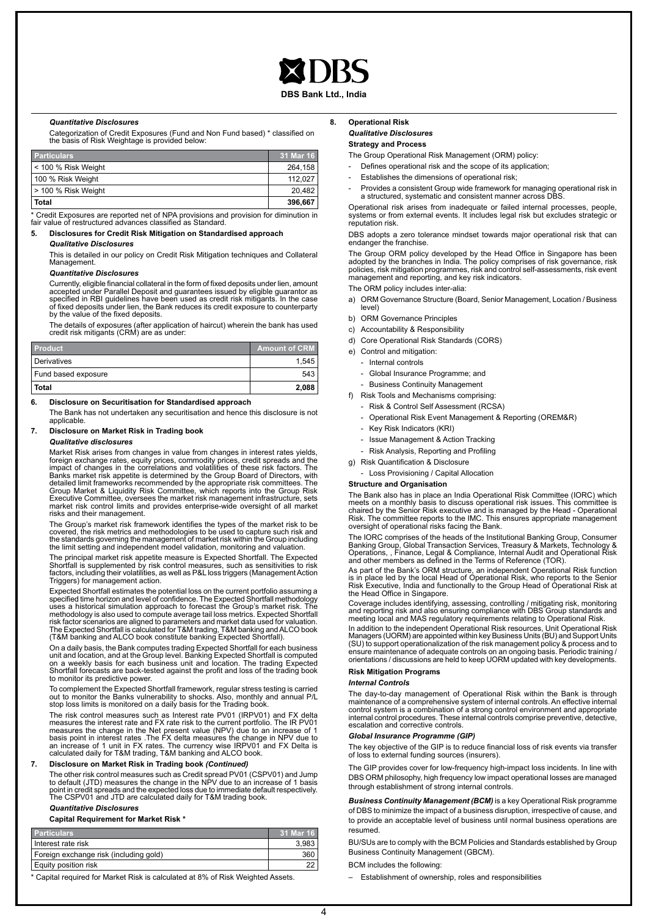#### **DBS Bank Ltd., India**

#### *Quantitative Disclosures*

Categorization of Credit Exposures (Fund and Non Fund based) \* classified on the basis of Risk Weightage is provided below:

| <b>Particulars</b>    | 31 Mar 16 |
|-----------------------|-----------|
| l < 100 % Risk Weight | 264.158   |
| 100 % Risk Weight     | 112.027   |
| l > 100 % Risk Weight | 20.482    |
| <b>Total</b>          | 396.667   |

\* Credit Exposures are reported net of NPA provisions and provision for diminution in fair value of restructured advances classified as Standard.

#### **5. Disclosures for Credit Risk Mitigation on Standardised approach**

#### *Qualitative Disclosures*

This is detailed in our policy on Credit Risk Mitigation techniques and Collateral **Management** 

#### *Quantitative Disclosures*

Currently, eligible financial collateral in the form of fixed deposits under lien, amount<br>accepted under Parallel Deposit and guarantees issued by eligible guarantor as<br>specified in RBI guidelines have been used as credit of fixed deposits under lien, the Bank reduces its credit exposure to counterparty by the value of the fixed deposits.

The details of exposures (after application of haircut) wherein the bank has used credit risk mitigants (CRM) are as under:

| <b>Product</b>      | Amount of CRM |
|---------------------|---------------|
| Derivatives         | 1.545         |
| Fund based exposure | 543           |
| Total               | 2.088         |

#### **6. Disclosure on Securitisation for Standardised approach**

The Bank has not undertaken any securitisation and hence this disclosure is not applicable.

#### **7. Disclosure on Market Risk in Trading book**

#### *Qualitative disclosures*

Market Risk arises from changes in value from changes in interest rates yields, foreign exchange rates, equity prices, commodity prices, credit spreads and the impact of changes in the correlations and volatilities of these risk factors. The Banks market risk appetite is determined by the Group Board of Directors, with<br>detailed limit frameworks recommended by the appropriate risk committees. The<br>Group Market & Liquidity Risk Committee, which reports into the G market risk control limits and provides enterprise-wide oversight of all market risks and their management.

The Group's market risk framework identifies the types of the market risk to be covered, the risk metrics and methodologies to be used to capture such risk and the standards governing the management of market risk within the Group including the limit setting and independent model validation, monitoring and valuation.

The principal market risk appetite measure is Expected Shortfall. The Expected<br>Shortfall is supplemented by risk control measures, such as sensitivities to risk<br>factors, including their volatilities, as well as P&L loss tr Triggers) for management action.

Expected Shortfall estimates the potential loss on the current portfolio assuming a<br>specified time horizon and level of confidence. The Expected Shortfall methodology<br>uses a historical simulation approach to forecast the G risk factor scenarios are aligned to parameters and market data used for valuation. The Expected Shortfall is calculated for T&M trading, T&M banking and ALCO book (T&M banking and ALCO book constitute banking Expected Shortfall).

On a daily basis, the Bank computes trading Expected Shortfall for each business unit and location, and at the Group level. Banking Expected Shortfall is computed on a weekly basis for each business unit and location. The trading Expected Shortfall forecasts are back-tested against the profit and loss of the trading book to monitor its predictive power.

To complement the Expected Shortfall framework, regular stress testing is carried<br>out to monitor the Banks vulnerability to shocks. Also, monthly and annual P/L<br>stop loss limits is monitored on a daily basis for the Tradin

The risk control measures such as Interest rate PV01 (IRPV01) and FX delta measures the interest rate and FX rate risk to the current portfolio. The IR PV01 measures the change in the Net present value (NPV) due to an increase of 1<br>basis point in interest rates .The FX delta measures the change in NPV due to<br>an increase of 1 unit in FX rates. The currency wise IRPV01 and FX De calculated daily for T&M trading, T&M banking and ALCO book.

#### **7. Disclosure on Market Risk in Trading book** *(Continued)*

The other risk control measures such as Credit spread PV01 (CSPV01) and Jump<br>to default (JTD) measures the change in the NPV due to an increase of 1 basis<br>point in credit spreads and the expected loss due to immediate defa

### *Quantitative Disclosures*

#### **Capital Requirement for Market Risk \***

| <b>Particulars</b>                     | 31 Mar 16 |
|----------------------------------------|-----------|
| I Interest rate risk                   | 3.983     |
| Foreign exchange risk (including gold) | 360       |
| Equity position risk                   | 22        |

\* Capital required for Market Risk is calculated at 8% of Risk Weighted Assets.

#### **8. Operational Risk** *Qualitative Disclosures* **Strategy and Process**

The Group Operational Risk Management (ORM) policy:

Defines operational risk and the scope of its application;

- Establishes the dimensions of operational risk;
- Provides a consistent Group wide framework for managing operational risk in a structured, systematic and consistent manner across DBS.

Operational risk arises from inadequate or failed internal processes, people, systems or from external events. It includes legal risk but excludes strategic or reputation risk.

DBS adopts a zero tolerance mindset towards major operational risk that can endanger the franchise.

The Group ORM policy developed by the Head Office in Singapore has been adopted by the branches in India. The policy comprises of risk governance, risk policies, risk mitigation programmes, risk and control self-assessments, risk event management and reporting, and key risk indicators.

The ORM policy includes inter-alia:

- a) ORM Governance Structure (Board, Senior Management, Location / Business level)
- b) ORM Governance Principles
- c) Accountability & Responsibility
- d) Core Operational Risk Standards (CORS)
- e) Control and mitigation:
	- Internal controls
	- Global Insurance Programme; and
	- Business Continuity Management
- f) Risk Tools and Mechanisms comprising:
	- Risk & Control Self Assessment (RCSA)
	- Operational Risk Event Management & Reporting (OREM&R)
	- Key Risk Indicators (KRI)
	- Issue Management & Action Tracking
	- Risk Analysis, Reporting and Profiling
- g) Risk Quantification & Disclosure
	- Loss Provisioning / Capital Allocation

#### **Structure and Organisation**

The Bank also has in place an India Operational Risk Committee (IORC) which meets on a monthly basis to discuss operational risk issues. This committee is<br>chaired by the Senior Risk executive and is managed by the Head - Operational<br>Risk. The committee reports to the IMC. This ensures appropriate

The IORC comprises of the heads of the Institutional Banking Group, Consumer Banking Group, Global Transaction Services, Treasury & Markets, Technology & Operations, , Finance, Legal & Compliance, Internal Audit and Operational Risk and other members as defined in the Terms of Reference (TOR).

As part of the Bank's ORM structure, an independent Operational Risk function is in place led by the local Head of Operational Risk, who reports to the Senior Risk Executive, India and functionally to the Group Head of Operational Risk at the Head Office in Singapore.

Coverage includes identifying, assessing, controlling / mitigating risk, monitoring<br>and reporting risk and also ensuring compliance with DBS Group standards and<br>meeting local and MAS regulatory requirements relating to Ope

In addition to the independent Operational Risk resources, Unit Operational Risk Managers (UORM) are appointed within key Business Units (BU) and Support Units (SU) to support operationalization of the risk management policy & process and to ensure maintenance of adequate controls on an ongoing basis. Periodic training / orientations / discussions are held to keep UORM updated with key developments.

### **Risk Mitigation Programs**

#### *Internal Controls*

The day-to-day management of Operational Risk within the Bank is through maintenance of a comprehensive system of internal controls. An effective internal control system is a combination of a strong control environment and appropriate internal control procedures. These internal controls comprise preventive, detective, escalation and corrective controls.

#### *Global Insurance Programme (GIP)*

The key objective of the GIP is to reduce financial loss of risk events via transfer of loss to external funding sources (insurers).

The GIP provides cover for low-frequency high-impact loss incidents. In line with DBS ORM philosophy, high frequency low impact operational losses are managed through establishment of strong internal controls.

*Business Continuity Management (BCM)* is a key Operational Risk programme of DBS to minimize the impact of a business disruption, irrespective of cause, and to provide an acceptable level of business until normal business operations are resumed.

BU/SUs are to comply with the BCM Policies and Standards established by Group Business Continuity Management (GBCM).

BCM includes the following:

– Establishment of ownership, roles and responsibilities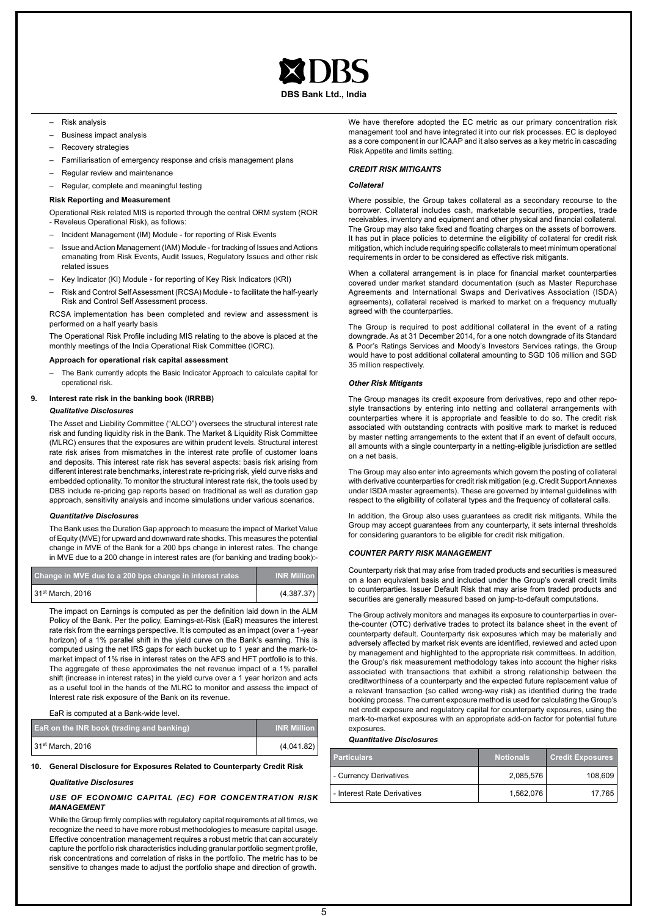

**DBS Bank Ltd., India**

- Risk analysis
- Business impact analysis
- Recovery strategies
- Familiarisation of emergency response and crisis management plans
- Regular review and maintenance
- Regular, complete and meaningful testing

#### **Risk Reporting and Measurement**

Operational Risk related MIS is reported through the central ORM system (ROR - Reveleus Operational Risk), as follows:

- Incident Management (IM) Module for reporting of Risk Events
- Issue and Action Management (IAM) Module for tracking of Issues and Actions emanating from Risk Events, Audit Issues, Regulatory Issues and other risk related issues
- Key Indicator (KI) Module for reporting of Key Risk Indicators (KRI)
- Risk and Control Self Assessment (RCSA) Module to facilitate the half-yearly Risk and Control Self Assessment process.

RCSA implementation has been completed and review and assessment is performed on a half yearly basis

The Operational Risk Profile including MIS relating to the above is placed at the monthly meetings of the India Operational Risk Committee (IORC).

#### **Approach for operational risk capital assessment**

– The Bank currently adopts the Basic Indicator Approach to calculate capital for operational risk.

#### **9. Interest rate risk in the banking book (IRRBB)**

#### *Qualitative Disclosures*

The Asset and Liability Committee ("ALCO") oversees the structural interest rate risk and funding liquidity risk in the Bank. The Market & Liquidity Risk Committee (MLRC) ensures that the exposures are within prudent levels. Structural interest rate risk arises from mismatches in the interest rate profile of customer loans and deposits. This interest rate risk has several aspects: basis risk arising from different interest rate benchmarks, interest rate re-pricing risk, yield curve risks and embedded optionality. To monitor the structural interest rate risk, the tools used by DBS include re-pricing gap reports based on traditional as well as duration gap approach, sensitivity analysis and income simulations under various scenarios.

#### *Quantitative Disclosures*

The Bank uses the Duration Gap approach to measure the impact of Market Value of Equity (MVE) for upward and downward rate shocks. This measures the potential change in MVE of the Bank for a 200 bps change in interest rates. The change in MVE due to a 200 change in interest rates are (for banking and trading book):-

| Change in MVE due to a 200 bps change in interest rates | <b>INR Million</b> |
|---------------------------------------------------------|--------------------|
| l 31 <sup>st</sup> March. 2016                          | (4,387.37)         |

The impact on Earnings is computed as per the definition laid down in the ALM Policy of the Bank. Per the policy, Earnings-at-Risk (EaR) measures the interest rate risk from the earnings perspective. It is computed as an impact (over a 1-year horizon) of a 1% parallel shift in the yield curve on the Bank's earning. This is computed using the net IRS gaps for each bucket up to 1 year and the mark-tomarket impact of 1% rise in interest rates on the AFS and HFT portfolio is to this. The aggregate of these approximates the net revenue impact of a 1% parallel shift (increase in interest rates) in the yield curve over a 1 year horizon and acts as a useful tool in the hands of the MLRC to monitor and assess the impact of Interest rate risk exposure of the Bank on its revenue.

#### EaR is computed at a Bank-wide level.

| EaR on the INR book (trading and banking) | <b>INR Million</b> |
|-------------------------------------------|--------------------|
| 31 <sup>st</sup> March, 2016              | (4,041.82)         |

#### **10. General Disclosure for Exposures Related to Counterparty Credit Risk**

#### *Qualitative Disclosures*

#### *USE OF ECONOMIC CAPITAL (EC) FOR CONCENTRATION RISK MANAGEMENT*

While the Group firmly complies with regulatory capital requirements at all times, we recognize the need to have more robust methodologies to measure capital usage. Effective concentration management requires a robust metric that can accurately capture the portfolio risk characteristics including granular portfolio segment profile, risk concentrations and correlation of risks in the portfolio. The metric has to be sensitive to changes made to adjust the portfolio shape and direction of growth.

We have therefore adopted the EC metric as our primary concentration risk management tool and have integrated it into our risk processes. EC is deployed as a core component in our ICAAP and it also serves as a key metric in cascading Risk Appetite and limits setting.

#### *CREDIT RISK MITIGANTS*

#### *Collateral*

Where possible, the Group takes collateral as a secondary recourse to the borrower. Collateral includes cash, marketable securities, properties, trade receivables, inventory and equipment and other physical and financial collateral. The Group may also take fixed and floating charges on the assets of borrowers. It has put in place policies to determine the eligibility of collateral for credit risk mitigation, which include requiring specific collaterals to meet minimum operational requirements in order to be considered as effective risk mitigants.

When a collateral arrangement is in place for financial market counterparties covered under market standard documentation (such as Master Repurchase Agreements and International Swaps and Derivatives Association (ISDA) agreements), collateral received is marked to market on a frequency mutually agreed with the counterparties.

The Group is required to post additional collateral in the event of a rating downgrade. As at 31 December 2014, for a one notch downgrade of its Standard & Poor's Ratings Services and Moody's Investors Services ratings, the Group would have to post additional collateral amounting to SGD 106 million and SGD 35 million respectively.

#### *Other Risk Mitigants*

The Group manages its credit exposure from derivatives, repo and other repostyle transactions by entering into netting and collateral arrangements with counterparties where it is appropriate and feasible to do so. The credit risk associated with outstanding contracts with positive mark to market is reduced by master netting arrangements to the extent that if an event of default occurs, all amounts with a single counterparty in a netting-eligible jurisdiction are settled on a net basis.

The Group may also enter into agreements which govern the posting of collateral with derivative counterparties for credit risk mitigation (e.g. Credit Support Annexes under ISDA master agreements). These are governed by internal guidelines with respect to the eligibility of collateral types and the frequency of collateral calls.

In addition, the Group also uses guarantees as credit risk mitigants. While the Group may accept guarantees from any counterparty, it sets internal thresholds for considering guarantors to be eligible for credit risk mitigation.

#### *COUNTER PARTY RISK MANAGEMENT*

Counterparty risk that may arise from traded products and securities is measured on a loan equivalent basis and included under the Group's overall credit limits to counterparties. Issuer Default Risk that may arise from traded products and securities are generally measured based on jump-to-default computations.

The Group actively monitors and manages its exposure to counterparties in overthe-counter (OTC) derivative trades to protect its balance sheet in the event of counterparty default. Counterparty risk exposures which may be materially and adversely affected by market risk events are identified, reviewed and acted upon by management and highlighted to the appropriate risk committees. In addition, the Group's risk measurement methodology takes into account the higher risks associated with transactions that exhibit a strong relationship between the creditworthiness of a counterparty and the expected future replacement value of a relevant transaction (so called wrong-way risk) as identified during the trade booking process. The current exposure method is used for calculating the Group's net credit exposure and regulatory capital for counterparty exposures, using the mark-to-market exposures with an appropriate add-on factor for potential future exposures.

#### *Quantitative Disclosures*

| <b>Particulars</b>          | <b>Notionals</b> | <b>Credit Exposures</b> |
|-----------------------------|------------------|-------------------------|
| - Currency Derivatives      | 2,085,576        | 108,609                 |
| - Interest Rate Derivatives | 1,562,076        | 17.765                  |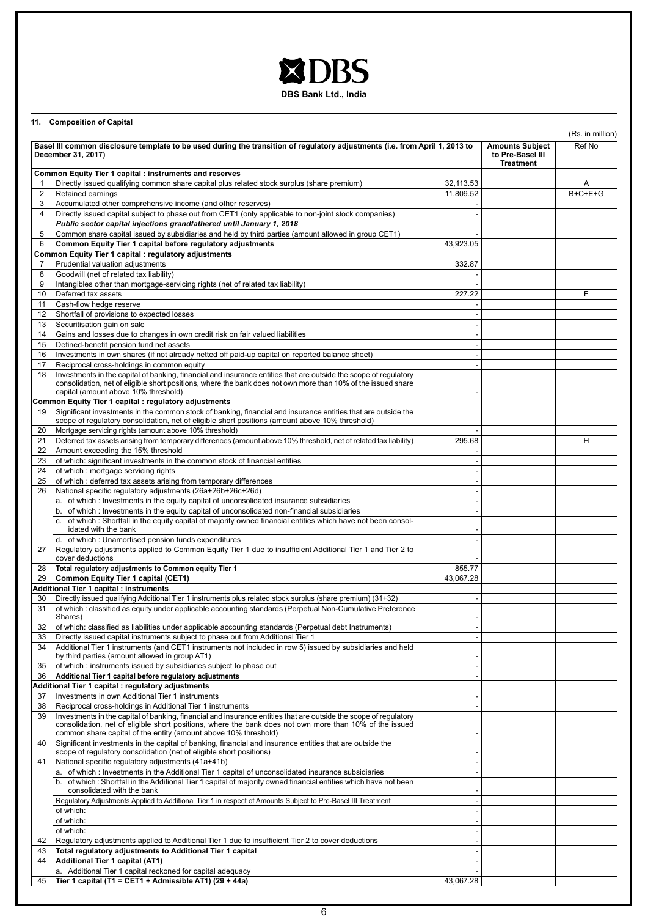## XDBS **DBS Bank Ltd., India**

**11. Composition of Capital**

|                | Basel III common disclosure template to be used during the transition of regulatory adjustments (i.e. from April 1, 2013 to<br>December 31, 2017)                                                                                                                                              | <b>Amounts Subject</b><br>to Pre-Basel III<br><b>Treatment</b> | (Rs. in million)<br>Ref No |           |
|----------------|------------------------------------------------------------------------------------------------------------------------------------------------------------------------------------------------------------------------------------------------------------------------------------------------|----------------------------------------------------------------|----------------------------|-----------|
|                | <b>Common Equity Tier 1 capital : instruments and reserves</b>                                                                                                                                                                                                                                 |                                                                |                            |           |
| 1              | Directly issued qualifying common share capital plus related stock surplus (share premium)                                                                                                                                                                                                     | 32.113.53                                                      |                            | Α         |
| $\overline{2}$ | Retained earnings                                                                                                                                                                                                                                                                              | 11,809.52                                                      |                            | $B+C+E+G$ |
| 3              | Accumulated other comprehensive income (and other reserves)                                                                                                                                                                                                                                    |                                                                |                            |           |
| 4              | Directly issued capital subject to phase out from CET1 (only applicable to non-joint stock companies)                                                                                                                                                                                          | $\blacksquare$                                                 |                            |           |
|                | Public sector capital injections grandfathered until January 1, 2018                                                                                                                                                                                                                           |                                                                |                            |           |
| 5              | Common share capital issued by subsidiaries and held by third parties (amount allowed in group CET1)                                                                                                                                                                                           |                                                                |                            |           |
| 6              | Common Equity Tier 1 capital before regulatory adjustments                                                                                                                                                                                                                                     | 43,923.05                                                      |                            |           |
|                |                                                                                                                                                                                                                                                                                                |                                                                |                            |           |
|                | <b>Common Equity Tier 1 capital : regulatory adjustments</b>                                                                                                                                                                                                                                   |                                                                |                            |           |
| 7              | Prudential valuation adjustments                                                                                                                                                                                                                                                               | 332.87                                                         |                            |           |
| 8              | Goodwill (net of related tax liability)                                                                                                                                                                                                                                                        |                                                                |                            |           |
| 9              | Intangibles other than mortgage-servicing rights (net of related tax liability)                                                                                                                                                                                                                |                                                                |                            |           |
| 10             | Deferred tax assets                                                                                                                                                                                                                                                                            | 227.22                                                         |                            | F         |
| 11             | Cash-flow hedge reserve                                                                                                                                                                                                                                                                        |                                                                |                            |           |
| 12             | Shortfall of provisions to expected losses                                                                                                                                                                                                                                                     |                                                                |                            |           |
| 13             | Securitisation gain on sale                                                                                                                                                                                                                                                                    |                                                                |                            |           |
| 14             | Gains and losses due to changes in own credit risk on fair valued liabilities                                                                                                                                                                                                                  |                                                                |                            |           |
| 15             | Defined-benefit pension fund net assets                                                                                                                                                                                                                                                        |                                                                |                            |           |
| 16             | Investments in own shares (if not already netted off paid-up capital on reported balance sheet)                                                                                                                                                                                                |                                                                |                            |           |
| 17             | Reciprocal cross-holdings in common equity                                                                                                                                                                                                                                                     |                                                                |                            |           |
| 18             | Investments in the capital of banking, financial and insurance entities that are outside the scope of regulatory<br>consolidation, net of eligible short positions, where the bank does not own more than 10% of the issued share<br>capital (amount above 10% threshold)                      |                                                                |                            |           |
|                | Common Equity Tier 1 capital : regulatory adjustments                                                                                                                                                                                                                                          |                                                                |                            |           |
| 19             | Significant investments in the common stock of banking, financial and insurance entities that are outside the                                                                                                                                                                                  |                                                                |                            |           |
|                | scope of regulatory consolidation, net of eligible short positions (amount above 10% threshold)                                                                                                                                                                                                |                                                                |                            |           |
| 20             | Mortgage servicing rights (amount above 10% threshold)                                                                                                                                                                                                                                         |                                                                |                            |           |
| 21             | Deferred tax assets arising from temporary differences (amount above 10% threshold, net of related tax liability)                                                                                                                                                                              | 295.68                                                         |                            | н         |
| 22             | Amount exceeding the 15% threshold                                                                                                                                                                                                                                                             |                                                                |                            |           |
| 23             | of which: significant investments in the common stock of financial entities                                                                                                                                                                                                                    | $\blacksquare$                                                 |                            |           |
| 24             | of which: mortgage servicing rights                                                                                                                                                                                                                                                            |                                                                |                            |           |
| 25             | of which: deferred tax assets arising from temporary differences                                                                                                                                                                                                                               |                                                                |                            |           |
| 26             | National specific regulatory adjustments (26a+26b+26c+26d)                                                                                                                                                                                                                                     |                                                                |                            |           |
|                | a. of which: Investments in the equity capital of unconsolidated insurance subsidiaries                                                                                                                                                                                                        |                                                                |                            |           |
|                |                                                                                                                                                                                                                                                                                                |                                                                |                            |           |
|                | b. of which: Investments in the equity capital of unconsolidated non-financial subsidiaries                                                                                                                                                                                                    | ٠                                                              |                            |           |
|                | c. of which: Shortfall in the equity capital of majority owned financial entities which have not been consol-<br>idated with the bank<br>d. of which: Unamortised pension funds expenditures                                                                                                   |                                                                |                            |           |
| 27             | Requlatory adjustments applied to Common Equity Tier 1 due to insufficient Additional Tier 1 and Tier 2 to                                                                                                                                                                                     |                                                                |                            |           |
|                | cover deductions                                                                                                                                                                                                                                                                               |                                                                |                            |           |
| 28             | Total regulatory adjustments to Common equity Tier 1                                                                                                                                                                                                                                           | 855.77                                                         |                            |           |
| 29             | Common Equity Tier 1 capital (CET1)                                                                                                                                                                                                                                                            | 43,067.28                                                      |                            |           |
|                | <b>Additional Tier 1 capital : instruments</b>                                                                                                                                                                                                                                                 |                                                                |                            |           |
|                |                                                                                                                                                                                                                                                                                                |                                                                |                            |           |
| 30<br>31       | Directly issued qualifying Additional Tier 1 instruments plus related stock surplus (share premium) (31+32)<br>of which: classified as equity under applicable accounting standards (Perpetual Non-Cumulative Preference<br>Shares)                                                            | $\overline{\phantom{a}}$                                       |                            |           |
| 32             | of which: classified as liabilities under applicable accounting standards (Perpetual debt Instruments)                                                                                                                                                                                         | $\overline{\phantom{a}}$                                       |                            |           |
| 33             | Directly issued capital instruments subject to phase out from Additional Tier 1                                                                                                                                                                                                                |                                                                |                            |           |
| 34             | Additional Tier 1 instruments (and CET1 instruments not included in row 5) issued by subsidiaries and held                                                                                                                                                                                     |                                                                |                            |           |
|                | by third parties (amount allowed in group AT1)                                                                                                                                                                                                                                                 |                                                                |                            |           |
| 35             | of which: instruments issued by subsidiaries subject to phase out                                                                                                                                                                                                                              | $\blacksquare$                                                 |                            |           |
| 36             | Additional Tier 1 capital before regulatory adjustments                                                                                                                                                                                                                                        | $\blacksquare$                                                 |                            |           |
|                | Additional Tier 1 capital : regulatory adjustments                                                                                                                                                                                                                                             |                                                                |                            |           |
| 37             | Investments in own Additional Tier 1 instruments                                                                                                                                                                                                                                               |                                                                |                            |           |
| 38             | Reciprocal cross-holdings in Additional Tier 1 instruments                                                                                                                                                                                                                                     |                                                                |                            |           |
| 39             | Investments in the capital of banking, financial and insurance entities that are outside the scope of regulatory<br>consolidation, net of eligible short positions, where the bank does not own more than 10% of the issued<br>common share capital of the entity (amount above 10% threshold) |                                                                |                            |           |
| 40             | Significant investments in the capital of banking, financial and insurance entities that are outside the<br>scope of regulatory consolidation (net of eligible short positions)                                                                                                                |                                                                |                            |           |
| 41             | National specific regulatory adjustments (41a+41b)                                                                                                                                                                                                                                             |                                                                |                            |           |
|                | a. of which: Investments in the Additional Tier 1 capital of unconsolidated insurance subsidiaries                                                                                                                                                                                             |                                                                |                            |           |
|                | b. of which: Shortfall in the Additional Tier 1 capital of majority owned financial entities which have not been<br>consolidated with the bank                                                                                                                                                 |                                                                |                            |           |
|                | Regulatory Adjustments Applied to Additional Tier 1 in respect of Amounts Subject to Pre-Basel III Treatment                                                                                                                                                                                   |                                                                |                            |           |
|                | of which:                                                                                                                                                                                                                                                                                      |                                                                |                            |           |
|                | of which:                                                                                                                                                                                                                                                                                      |                                                                |                            |           |
|                | of which:                                                                                                                                                                                                                                                                                      |                                                                |                            |           |
| 42             | Regulatory adjustments applied to Additional Tier 1 due to insufficient Tier 2 to cover deductions                                                                                                                                                                                             |                                                                |                            |           |
| 43             | Total regulatory adjustments to Additional Tier 1 capital                                                                                                                                                                                                                                      |                                                                |                            |           |
| 44             | <b>Additional Tier 1 capital (AT1)</b>                                                                                                                                                                                                                                                         |                                                                |                            |           |
|                | a. Additional Tier 1 capital reckoned for capital adequacy                                                                                                                                                                                                                                     |                                                                |                            |           |
| 45             | Tier 1 capital (T1 = CET1 + Admissible AT1) (29 + 44a)                                                                                                                                                                                                                                         | 43,067.28                                                      |                            |           |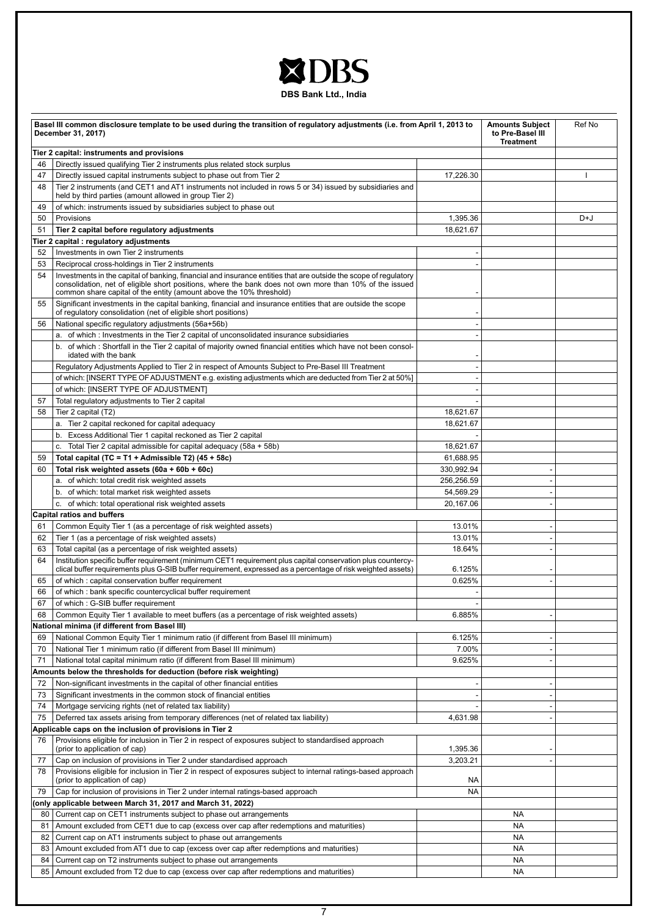# XDBS

**DBS Bank Ltd., India**

| Basel III common disclosure template to be used during the transition of regulatory adjustments (i.e. from April 1, 2013 to<br>December 31, 2017) |                                                                                                                                                                                                                                                                                                    |            | <b>Amounts Subject</b><br>to Pre-Basel III<br><b>Treatment</b> | Ref No |
|---------------------------------------------------------------------------------------------------------------------------------------------------|----------------------------------------------------------------------------------------------------------------------------------------------------------------------------------------------------------------------------------------------------------------------------------------------------|------------|----------------------------------------------------------------|--------|
|                                                                                                                                                   | Tier 2 capital: instruments and provisions                                                                                                                                                                                                                                                         |            |                                                                |        |
| 46                                                                                                                                                | Directly issued qualifying Tier 2 instruments plus related stock surplus                                                                                                                                                                                                                           |            |                                                                |        |
| 47                                                                                                                                                | Directly issued capital instruments subject to phase out from Tier 2                                                                                                                                                                                                                               | 17,226.30  |                                                                |        |
| 48                                                                                                                                                | Tier 2 instruments (and CET1 and AT1 instruments not included in rows 5 or 34) issued by subsidiaries and<br>held by third parties (amount allowed in group Tier 2)                                                                                                                                |            |                                                                |        |
| 49                                                                                                                                                | of which: instruments issued by subsidiaries subject to phase out                                                                                                                                                                                                                                  |            |                                                                |        |
| 50                                                                                                                                                | Provisions                                                                                                                                                                                                                                                                                         | 1,395.36   |                                                                | D+J    |
| 51                                                                                                                                                | Tier 2 capital before regulatory adjustments                                                                                                                                                                                                                                                       | 18,621.67  |                                                                |        |
|                                                                                                                                                   | Tier 2 capital : regulatory adjustments                                                                                                                                                                                                                                                            |            |                                                                |        |
| 52                                                                                                                                                | Investments in own Tier 2 instruments                                                                                                                                                                                                                                                              |            |                                                                |        |
| 53                                                                                                                                                | Reciprocal cross-holdings in Tier 2 instruments                                                                                                                                                                                                                                                    |            |                                                                |        |
| 54                                                                                                                                                | Investments in the capital of banking, financial and insurance entities that are outside the scope of regulatory<br>consolidation, net of eligible short positions, where the bank does not own more than 10% of the issued<br>common share capital of the entity (amount above the 10% threshold) |            |                                                                |        |
| 55                                                                                                                                                | Significant investments in the capital banking, financial and insurance entities that are outside the scope<br>of regulatory consolidation (net of eligible short positions)                                                                                                                       |            |                                                                |        |
| 56                                                                                                                                                | National specific regulatory adjustments (56a+56b)                                                                                                                                                                                                                                                 |            |                                                                |        |
|                                                                                                                                                   | a. of which: Investments in the Tier 2 capital of unconsolidated insurance subsidiaries                                                                                                                                                                                                            |            |                                                                |        |
|                                                                                                                                                   | b. of which: Shortfall in the Tier 2 capital of majority owned financial entities which have not been consol-<br>idated with the bank                                                                                                                                                              |            |                                                                |        |
|                                                                                                                                                   | Regulatory Adjustments Applied to Tier 2 in respect of Amounts Subject to Pre-Basel III Treatment                                                                                                                                                                                                  |            |                                                                |        |
|                                                                                                                                                   | of which: [INSERT TYPE OF ADJUSTMENT e.g. existing adjustments which are deducted from Tier 2 at 50%]                                                                                                                                                                                              |            |                                                                |        |
|                                                                                                                                                   | of which: [INSERT TYPE OF ADJUSTMENT]                                                                                                                                                                                                                                                              |            |                                                                |        |
| 57                                                                                                                                                | Total regulatory adjustments to Tier 2 capital                                                                                                                                                                                                                                                     |            |                                                                |        |
| 58                                                                                                                                                | Tier 2 capital (T2)                                                                                                                                                                                                                                                                                | 18,621.67  |                                                                |        |
|                                                                                                                                                   | a. Tier 2 capital reckoned for capital adequacy                                                                                                                                                                                                                                                    | 18,621.67  |                                                                |        |
|                                                                                                                                                   |                                                                                                                                                                                                                                                                                                    |            |                                                                |        |
|                                                                                                                                                   | b. Excess Additional Tier 1 capital reckoned as Tier 2 capital                                                                                                                                                                                                                                     | 18,621.67  |                                                                |        |
|                                                                                                                                                   | c. Total Tier 2 capital admissible for capital adequacy (58a + 58b)                                                                                                                                                                                                                                |            |                                                                |        |
| 59                                                                                                                                                | Total capital (TC = T1 + Admissible T2) (45 + 58c)                                                                                                                                                                                                                                                 | 61,688.95  |                                                                |        |
| 60                                                                                                                                                | Total risk weighted assets (60a + 60b + 60c)                                                                                                                                                                                                                                                       | 330,992.94 |                                                                |        |
|                                                                                                                                                   | a. of which: total credit risk weighted assets                                                                                                                                                                                                                                                     | 256,256.59 |                                                                |        |
|                                                                                                                                                   | b. of which: total market risk weighted assets                                                                                                                                                                                                                                                     | 54,569.29  |                                                                |        |
|                                                                                                                                                   | c. of which: total operational risk weighted assets                                                                                                                                                                                                                                                | 20,167.06  |                                                                |        |
|                                                                                                                                                   | <b>Capital ratios and buffers</b>                                                                                                                                                                                                                                                                  |            |                                                                |        |
| 61                                                                                                                                                | Common Equity Tier 1 (as a percentage of risk weighted assets)                                                                                                                                                                                                                                     | 13.01%     |                                                                |        |
| 62                                                                                                                                                | Tier 1 (as a percentage of risk weighted assets)                                                                                                                                                                                                                                                   | 13.01%     |                                                                |        |
| 63                                                                                                                                                | Total capital (as a percentage of risk weighted assets)                                                                                                                                                                                                                                            | 18.64%     |                                                                |        |
| 64                                                                                                                                                | Institution specific buffer requirement (minimum CET1 requirement plus capital conservation plus countercy-                                                                                                                                                                                        |            |                                                                |        |
|                                                                                                                                                   | clical buffer requirements plus G-SIB buffer requirement, expressed as a percentage of risk weighted assets)                                                                                                                                                                                       | 6.125%     |                                                                |        |
| 65                                                                                                                                                | of which: capital conservation buffer requirement                                                                                                                                                                                                                                                  | 0.625%     |                                                                |        |
| 66                                                                                                                                                | of which: bank specific countercyclical buffer requirement                                                                                                                                                                                                                                         |            |                                                                |        |
| 67                                                                                                                                                | of which: G-SIB buffer requirement                                                                                                                                                                                                                                                                 |            |                                                                |        |
| 68                                                                                                                                                | Common Equity Tier 1 available to meet buffers (as a percentage of risk weighted assets)                                                                                                                                                                                                           | 6.885%     |                                                                |        |
|                                                                                                                                                   | National minima (if different from Basel III)                                                                                                                                                                                                                                                      |            |                                                                |        |
| 69                                                                                                                                                | National Common Equity Tier 1 minimum ratio (if different from Basel III minimum)                                                                                                                                                                                                                  | 6.125%     |                                                                |        |
| 70                                                                                                                                                | National Tier 1 minimum ratio (if different from Basel III minimum)                                                                                                                                                                                                                                | 7.00%      |                                                                |        |
| 71                                                                                                                                                | National total capital minimum ratio (if different from Basel III minimum)                                                                                                                                                                                                                         | 9.625%     |                                                                |        |
|                                                                                                                                                   | Amounts below the thresholds for deduction (before risk weighting)                                                                                                                                                                                                                                 |            |                                                                |        |
|                                                                                                                                                   |                                                                                                                                                                                                                                                                                                    |            |                                                                |        |
| 72                                                                                                                                                | Non-significant investments in the capital of other financial entities<br>Significant investments in the common stock of financial entities                                                                                                                                                        |            |                                                                |        |
| 73                                                                                                                                                |                                                                                                                                                                                                                                                                                                    |            |                                                                |        |
| 74                                                                                                                                                | Mortgage servicing rights (net of related tax liability)                                                                                                                                                                                                                                           |            |                                                                |        |
| 75                                                                                                                                                | Deferred tax assets arising from temporary differences (net of related tax liability)                                                                                                                                                                                                              | 4,631.98   |                                                                |        |
|                                                                                                                                                   | Applicable caps on the inclusion of provisions in Tier 2                                                                                                                                                                                                                                           |            |                                                                |        |
| 76                                                                                                                                                | Provisions eligible for inclusion in Tier 2 in respect of exposures subject to standardised approach<br>(prior to application of cap)                                                                                                                                                              | 1,395.36   |                                                                |        |
| 77                                                                                                                                                | Cap on inclusion of provisions in Tier 2 under standardised approach                                                                                                                                                                                                                               | 3,203.21   |                                                                |        |
| 78                                                                                                                                                | Provisions eligible for inclusion in Tier 2 in respect of exposures subject to internal ratings-based approach<br>(prior to application of cap)                                                                                                                                                    | NA         |                                                                |        |
| 79                                                                                                                                                | Cap for inclusion of provisions in Tier 2 under internal ratings-based approach                                                                                                                                                                                                                    | <b>NA</b>  |                                                                |        |
|                                                                                                                                                   | (only applicable between March 31, 2017 and March 31, 2022)                                                                                                                                                                                                                                        |            |                                                                |        |
|                                                                                                                                                   | 80 Current cap on CET1 instruments subject to phase out arrangements                                                                                                                                                                                                                               |            | <b>NA</b>                                                      |        |
| 81                                                                                                                                                | Amount excluded from CET1 due to cap (excess over cap after redemptions and maturities)                                                                                                                                                                                                            |            | <b>NA</b>                                                      |        |
| 82                                                                                                                                                | Current cap on AT1 instruments subject to phase out arrangements                                                                                                                                                                                                                                   |            | <b>NA</b>                                                      |        |
|                                                                                                                                                   | 83   Amount excluded from AT1 due to cap (excess over cap after redemptions and maturities)                                                                                                                                                                                                        |            | <b>NA</b>                                                      |        |
| 84                                                                                                                                                | Current cap on T2 instruments subject to phase out arrangements                                                                                                                                                                                                                                    |            | <b>NA</b>                                                      |        |
|                                                                                                                                                   | 85   Amount excluded from T2 due to cap (excess over cap after redemptions and maturities)                                                                                                                                                                                                         |            | <b>NA</b>                                                      |        |
|                                                                                                                                                   |                                                                                                                                                                                                                                                                                                    |            |                                                                |        |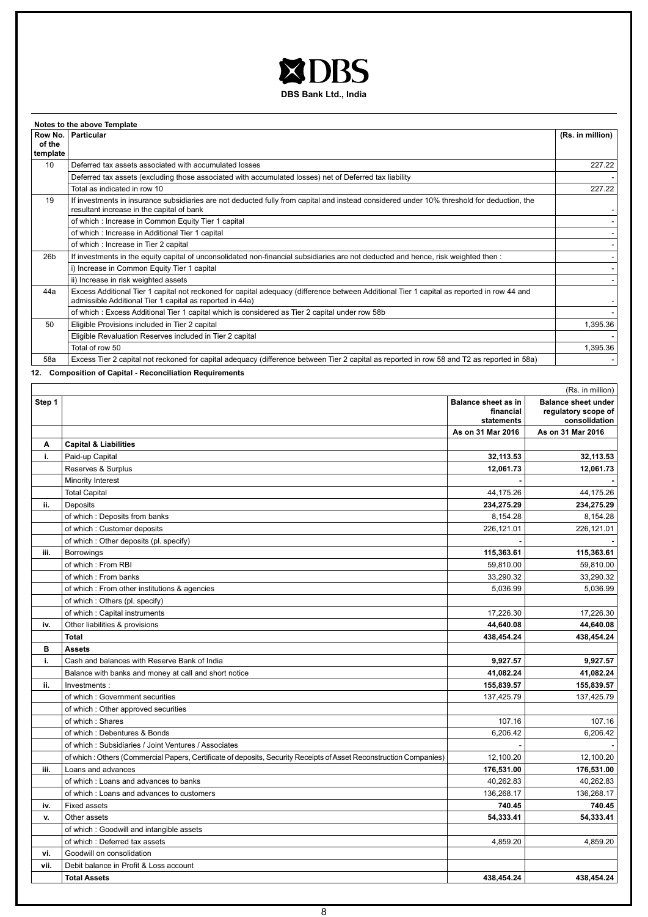

|                 | Notes to the above Template                                                                                                                                                                            |                  |
|-----------------|--------------------------------------------------------------------------------------------------------------------------------------------------------------------------------------------------------|------------------|
|                 | Row No.   Particular                                                                                                                                                                                   | (Rs. in million) |
| of the          |                                                                                                                                                                                                        |                  |
| template        |                                                                                                                                                                                                        |                  |
| 10              | Deferred tax assets associated with accumulated losses                                                                                                                                                 | 227.22           |
|                 | Deferred tax assets (excluding those associated with accumulated losses) net of Deferred tax liability                                                                                                 |                  |
|                 | Total as indicated in row 10                                                                                                                                                                           | 227.22           |
| 19              | If investments in insurance subsidiaries are not deducted fully from capital and instead considered under 10% threshold for deduction, the<br>resultant increase in the capital of bank                |                  |
|                 | of which: Increase in Common Equity Tier 1 capital                                                                                                                                                     |                  |
|                 | of which: Increase in Additional Tier 1 capital                                                                                                                                                        |                  |
|                 | of which: Increase in Tier 2 capital                                                                                                                                                                   |                  |
| 26 <sub>b</sub> | If investments in the equity capital of unconsolidated non-financial subsidiaries are not deducted and hence, risk weighted then :                                                                     |                  |
|                 | i) Increase in Common Equity Tier 1 capital                                                                                                                                                            |                  |
|                 | ii) Increase in risk weighted assets                                                                                                                                                                   |                  |
| 44a             | Excess Additional Tier 1 capital not reckoned for capital adequacy (difference between Additional Tier 1 capital as reported in row 44 and<br>admissible Additional Tier 1 capital as reported in 44a) |                  |
|                 | of which: Excess Additional Tier 1 capital which is considered as Tier 2 capital under row 58b                                                                                                         |                  |
| 50              | Eligible Provisions included in Tier 2 capital                                                                                                                                                         | 1,395.36         |
|                 | Eligible Revaluation Reserves included in Tier 2 capital                                                                                                                                               |                  |
|                 | Total of row 50                                                                                                                                                                                        | 1,395.36         |
| 58a             | Excess Tier 2 capital not reckoned for capital adequacy (difference between Tier 2 capital as reported in row 58 and T2 as reported in 58a)                                                            |                  |

**12. Composition of Capital - Reconciliation Requirements**

|        | (Rs. in million)                                                                                                            |                   |                   |  |
|--------|-----------------------------------------------------------------------------------------------------------------------------|-------------------|-------------------|--|
| Step 1 | <b>Balance sheet under</b><br><b>Balance sheet as in</b><br>regulatory scope of<br>financial<br>consolidation<br>statements |                   |                   |  |
|        |                                                                                                                             | As on 31 Mar 2016 | As on 31 Mar 2016 |  |
| Α      | <b>Capital &amp; Liabilities</b>                                                                                            |                   |                   |  |
| i.     | Paid-up Capital                                                                                                             | 32,113.53         | 32,113.53         |  |
|        | Reserves & Surplus                                                                                                          | 12,061.73         | 12,061.73         |  |
|        | Minority Interest                                                                                                           |                   |                   |  |
|        | <b>Total Capital</b>                                                                                                        | 44,175.26         | 44,175.26         |  |
| ii.    | Deposits                                                                                                                    | 234,275.29        | 234,275.29        |  |
|        | of which: Deposits from banks                                                                                               | 8,154.28          | 8,154.28          |  |
|        | of which: Customer deposits                                                                                                 | 226,121.01        | 226,121.01        |  |
|        | of which: Other deposits (pl. specify)                                                                                      |                   |                   |  |
| iii.   | Borrowings                                                                                                                  | 115,363.61        | 115,363.61        |  |
|        | of which: From RBI                                                                                                          | 59,810.00         | 59,810.00         |  |
|        | of which: From banks                                                                                                        | 33,290.32         | 33,290.32         |  |
|        | of which: From other institutions & agencies                                                                                | 5.036.99          | 5.036.99          |  |
|        | of which: Others (pl. specify)                                                                                              |                   |                   |  |
|        | of which: Capital instruments                                                                                               | 17,226.30         | 17,226.30         |  |
| iv.    | Other liabilities & provisions                                                                                              | 44,640.08         | 44,640.08         |  |
|        | <b>Total</b>                                                                                                                | 438,454.24        | 438,454.24        |  |
| в      | <b>Assets</b>                                                                                                               |                   |                   |  |
| i.     | Cash and balances with Reserve Bank of India                                                                                | 9,927.57          | 9,927.57          |  |
|        | Balance with banks and money at call and short notice                                                                       | 41,082.24         | 41,082.24         |  |
| ii.    | Investments:                                                                                                                | 155,839.57        | 155,839.57        |  |
|        | of which: Government securities                                                                                             | 137,425.79        | 137,425.79        |  |
|        | of which: Other approved securities                                                                                         |                   |                   |  |
|        | of which: Shares                                                                                                            | 107.16            | 107.16            |  |
|        | of which: Debentures & Bonds                                                                                                | 6,206.42          | 6,206.42          |  |
|        | of which: Subsidiaries / Joint Ventures / Associates                                                                        |                   |                   |  |
|        | of which: Others (Commercial Papers, Certificate of deposits, Security Receipts of Asset Reconstruction Companies)          | 12,100.20         | 12,100.20         |  |
| iii.   | Loans and advances                                                                                                          | 176,531.00        | 176,531.00        |  |
|        | of which: Loans and advances to banks                                                                                       | 40.262.83         | 40,262.83         |  |
|        | of which: Loans and advances to customers                                                                                   | 136,268.17        | 136,268.17        |  |
| iv.    | Fixed assets                                                                                                                | 740.45            | 740.45            |  |
| v.     | Other assets                                                                                                                | 54.333.41         | 54,333.41         |  |
|        | of which: Goodwill and intangible assets                                                                                    |                   |                   |  |
|        | of which: Deferred tax assets                                                                                               | 4,859.20          | 4,859.20          |  |
| vi.    | Goodwill on consolidation                                                                                                   |                   |                   |  |
| vii.   | Debit balance in Profit & Loss account                                                                                      |                   |                   |  |
|        | <b>Total Assets</b>                                                                                                         | 438.454.24        | 438.454.24        |  |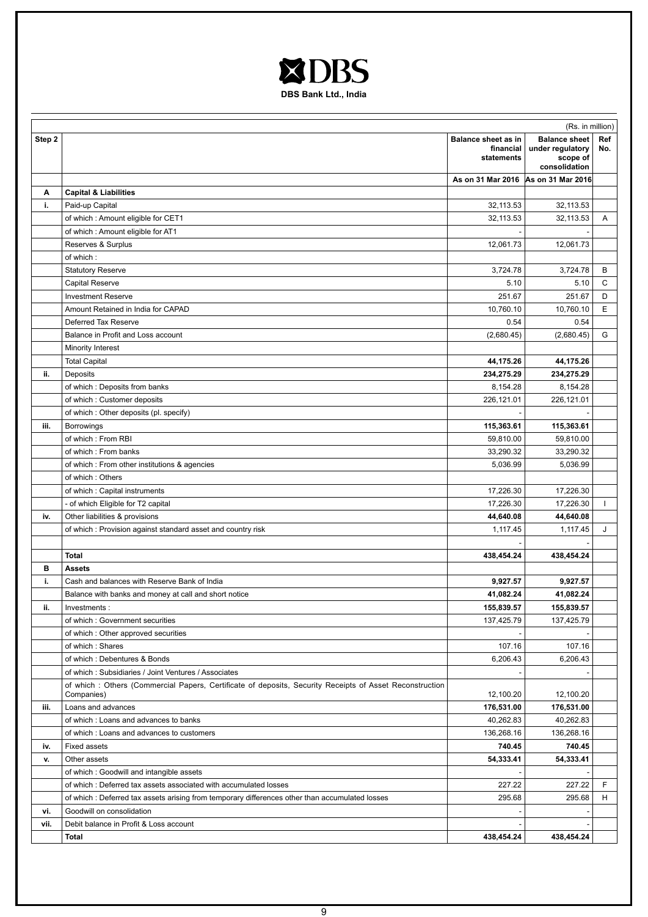

|        | (Rs. in million)                                                                                                      |                                                |                                                                       |            |  |
|--------|-----------------------------------------------------------------------------------------------------------------------|------------------------------------------------|-----------------------------------------------------------------------|------------|--|
| Step 2 |                                                                                                                       | Balance sheet as in<br>financial<br>statements | <b>Balance sheet</b><br>under regulatory<br>scope of<br>consolidation | Ref<br>No. |  |
|        |                                                                                                                       | As on 31 Mar 2016 As on 31 Mar 2016            |                                                                       |            |  |
| A      | <b>Capital &amp; Liabilities</b>                                                                                      |                                                |                                                                       |            |  |
| i.     | Paid-up Capital                                                                                                       | 32,113.53                                      | 32,113.53                                                             |            |  |
|        | of which: Amount eligible for CET1                                                                                    | 32,113.53                                      | 32,113.53                                                             | Α          |  |
|        | of which: Amount eligible for AT1                                                                                     |                                                |                                                                       |            |  |
|        | Reserves & Surplus                                                                                                    | 12,061.73                                      | 12,061.73                                                             |            |  |
|        | of which:                                                                                                             |                                                |                                                                       |            |  |
|        | <b>Statutory Reserve</b>                                                                                              | 3,724.78                                       | 3,724.78                                                              | В          |  |
|        | Capital Reserve                                                                                                       | 5.10                                           | 5.10                                                                  | C          |  |
|        | <b>Investment Reserve</b>                                                                                             | 251.67                                         | 251.67                                                                | D          |  |
|        | Amount Retained in India for CAPAD                                                                                    | 10,760.10                                      | 10,760.10                                                             | E          |  |
|        | Deferred Tax Reserve                                                                                                  | 0.54                                           | 0.54                                                                  |            |  |
|        | Balance in Profit and Loss account                                                                                    | (2,680.45)                                     | (2,680.45)                                                            | G          |  |
|        | Minority Interest                                                                                                     |                                                |                                                                       |            |  |
|        | <b>Total Capital</b>                                                                                                  | 44,175.26                                      | 44,175.26                                                             |            |  |
| ii.    | Deposits                                                                                                              | 234,275.29                                     | 234,275.29                                                            |            |  |
|        | of which: Deposits from banks                                                                                         | 8,154.28                                       | 8,154.28                                                              |            |  |
|        | of which: Customer deposits                                                                                           | 226,121.01                                     | 226,121.01                                                            |            |  |
|        | of which: Other deposits (pl. specify)                                                                                |                                                |                                                                       |            |  |
| iii.   | Borrowings                                                                                                            | 115,363.61                                     | 115,363.61                                                            |            |  |
|        | of which: From RBI                                                                                                    | 59,810.00                                      | 59,810.00                                                             |            |  |
|        | of which: From banks                                                                                                  | 33,290.32                                      | 33,290.32                                                             |            |  |
|        | of which: From other institutions & agencies                                                                          | 5,036.99                                       | 5,036.99                                                              |            |  |
|        | of which: Others                                                                                                      |                                                |                                                                       |            |  |
|        | of which: Capital instruments                                                                                         | 17,226.30                                      | 17,226.30                                                             |            |  |
|        | - of which Eligible for T2 capital                                                                                    | 17,226.30                                      | 17,226.30                                                             |            |  |
| iv.    | Other liabilities & provisions                                                                                        | 44,640.08                                      | 44,640.08                                                             |            |  |
|        | of which: Provision against standard asset and country risk                                                           | 1,117.45                                       | 1,117.45                                                              | J          |  |
|        | <b>Total</b>                                                                                                          | 438,454.24                                     | 438,454.24                                                            |            |  |
| в      | <b>Assets</b>                                                                                                         |                                                |                                                                       |            |  |
| i.     | Cash and balances with Reserve Bank of India                                                                          | 9,927.57                                       | 9,927.57                                                              |            |  |
|        | Balance with banks and money at call and short notice                                                                 | 41,082.24                                      | 41,082.24                                                             |            |  |
| ii.    | Investments:                                                                                                          | 155,839.57                                     | 155,839.57                                                            |            |  |
|        | of which: Government securities                                                                                       | 137,425.79                                     | 137,425.79                                                            |            |  |
|        | of which: Other approved securities                                                                                   |                                                |                                                                       |            |  |
|        | of which: Shares                                                                                                      | 107.16                                         | 107.16                                                                |            |  |
|        | of which: Debentures & Bonds                                                                                          | 6,206.43                                       | 6,206.43                                                              |            |  |
|        | of which: Subsidiaries / Joint Ventures / Associates                                                                  |                                                |                                                                       |            |  |
|        | of which: Others (Commercial Papers, Certificate of deposits, Security Receipts of Asset Reconstruction<br>Companies) | 12,100.20                                      | 12,100.20                                                             |            |  |
| iii.   | Loans and advances                                                                                                    | 176,531.00                                     | 176,531.00                                                            |            |  |
|        | of which: Loans and advances to banks                                                                                 | 40,262.83                                      | 40,262.83                                                             |            |  |
|        | of which: Loans and advances to customers                                                                             | 136,268.16                                     | 136,268.16                                                            |            |  |
| iv.    | <b>Fixed assets</b>                                                                                                   | 740.45                                         | 740.45                                                                |            |  |
| v.     | Other assets                                                                                                          | 54,333.41                                      | 54,333.41                                                             |            |  |
|        | of which: Goodwill and intangible assets                                                                              |                                                |                                                                       |            |  |
|        | of which: Deferred tax assets associated with accumulated losses                                                      | 227.22                                         | 227.22                                                                | F          |  |
|        | of which: Deferred tax assets arising from temporary differences other than accumulated losses                        | 295.68                                         | 295.68                                                                | Н.         |  |
| vi.    | Goodwill on consolidation                                                                                             |                                                |                                                                       |            |  |
| vii.   | Debit balance in Profit & Loss account                                                                                |                                                |                                                                       |            |  |
|        | Total                                                                                                                 | 438,454.24                                     | 438,454.24                                                            |            |  |